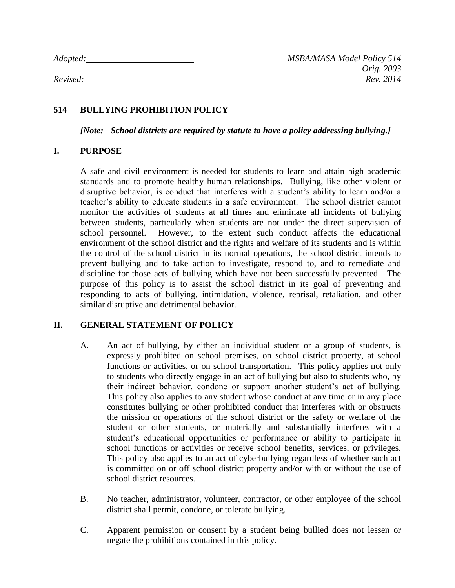*Adopted: MSBA/MASA Model Policy 514*

*Revised: Rev. 2014*

## **514 BULLYING PROHIBITION POLICY**

*[Note: School districts are required by statute to have a policy addressing bullying.]*

#### **I. PURPOSE**

A safe and civil environment is needed for students to learn and attain high academic standards and to promote healthy human relationships. Bullying, like other violent or disruptive behavior, is conduct that interferes with a student's ability to learn and/or a teacher's ability to educate students in a safe environment. The school district cannot monitor the activities of students at all times and eliminate all incidents of bullying between students, particularly when students are not under the direct supervision of school personnel. However, to the extent such conduct affects the educational environment of the school district and the rights and welfare of its students and is within the control of the school district in its normal operations, the school district intends to prevent bullying and to take action to investigate, respond to, and to remediate and discipline for those acts of bullying which have not been successfully prevented. The purpose of this policy is to assist the school district in its goal of preventing and responding to acts of bullying, intimidation, violence, reprisal, retaliation, and other similar disruptive and detrimental behavior.

### **II. GENERAL STATEMENT OF POLICY**

- A. An act of bullying, by either an individual student or a group of students, is expressly prohibited on school premises, on school district property, at school functions or activities, or on school transportation. This policy applies not only to students who directly engage in an act of bullying but also to students who, by their indirect behavior, condone or support another student's act of bullying. This policy also applies to any student whose conduct at any time or in any place constitutes bullying or other prohibited conduct that interferes with or obstructs the mission or operations of the school district or the safety or welfare of the student or other students, or materially and substantially interferes with a student's educational opportunities or performance or ability to participate in school functions or activities or receive school benefits, services, or privileges. This policy also applies to an act of cyberbullying regardless of whether such act is committed on or off school district property and/or with or without the use of school district resources.
- B. No teacher, administrator, volunteer, contractor, or other employee of the school district shall permit, condone, or tolerate bullying.
- C. Apparent permission or consent by a student being bullied does not lessen or negate the prohibitions contained in this policy.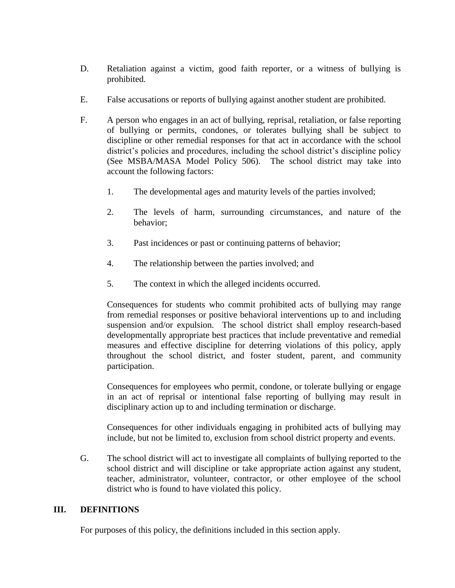- D. Retaliation against a victim, good faith reporter, or a witness of bullying is prohibited.
- E. False accusations or reports of bullying against another student are prohibited.
- F. A person who engages in an act of bullying, reprisal, retaliation, or false reporting of bullying or permits, condones, or tolerates bullying shall be subject to discipline or other remedial responses for that act in accordance with the school district's policies and procedures, including the school district's discipline policy (See MSBA/MASA Model Policy 506). The school district may take into account the following factors:
	- 1. The developmental ages and maturity levels of the parties involved;
	- 2. The levels of harm, surrounding circumstances, and nature of the behavior;
	- 3. Past incidences or past or continuing patterns of behavior;
	- 4. The relationship between the parties involved; and
	- 5. The context in which the alleged incidents occurred.

Consequences for students who commit prohibited acts of bullying may range from remedial responses or positive behavioral interventions up to and including suspension and/or expulsion. The school district shall employ research-based developmentally appropriate best practices that include preventative and remedial measures and effective discipline for deterring violations of this policy, apply throughout the school district, and foster student, parent, and community participation.

Consequences for employees who permit, condone, or tolerate bullying or engage in an act of reprisal or intentional false reporting of bullying may result in disciplinary action up to and including termination or discharge.

Consequences for other individuals engaging in prohibited acts of bullying may include, but not be limited to, exclusion from school district property and events.

G. The school district will act to investigate all complaints of bullying reported to the school district and will discipline or take appropriate action against any student, teacher, administrator, volunteer, contractor, or other employee of the school district who is found to have violated this policy.

#### **III. DEFINITIONS**

For purposes of this policy, the definitions included in this section apply.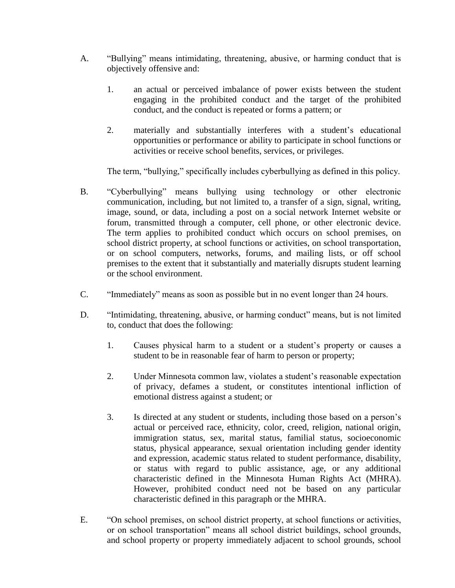- A. "Bullying" means intimidating, threatening, abusive, or harming conduct that is objectively offensive and:
	- 1. an actual or perceived imbalance of power exists between the student engaging in the prohibited conduct and the target of the prohibited conduct, and the conduct is repeated or forms a pattern; or
	- 2. materially and substantially interferes with a student's educational opportunities or performance or ability to participate in school functions or activities or receive school benefits, services, or privileges.

The term, "bullying," specifically includes cyberbullying as defined in this policy.

- B. "Cyberbullying" means bullying using technology or other electronic communication, including, but not limited to, a transfer of a sign, signal, writing, image, sound, or data, including a post on a social network Internet website or forum, transmitted through a computer, cell phone, or other electronic device. The term applies to prohibited conduct which occurs on school premises, on school district property, at school functions or activities, on school transportation, or on school computers, networks, forums, and mailing lists, or off school premises to the extent that it substantially and materially disrupts student learning or the school environment.
- C. "Immediately" means as soon as possible but in no event longer than 24 hours.
- D. "Intimidating, threatening, abusive, or harming conduct" means, but is not limited to, conduct that does the following:
	- 1. Causes physical harm to a student or a student's property or causes a student to be in reasonable fear of harm to person or property;
	- 2. Under Minnesota common law, violates a student's reasonable expectation of privacy, defames a student, or constitutes intentional infliction of emotional distress against a student; or
	- 3. Is directed at any student or students, including those based on a person's actual or perceived race, ethnicity, color, creed, religion, national origin, immigration status, sex, marital status, familial status, socioeconomic status, physical appearance, sexual orientation including gender identity and expression, academic status related to student performance, disability, or status with regard to public assistance, age, or any additional characteristic defined in the Minnesota Human Rights Act (MHRA). However, prohibited conduct need not be based on any particular characteristic defined in this paragraph or the MHRA.
- E. "On school premises, on school district property, at school functions or activities, or on school transportation" means all school district buildings, school grounds, and school property or property immediately adjacent to school grounds, school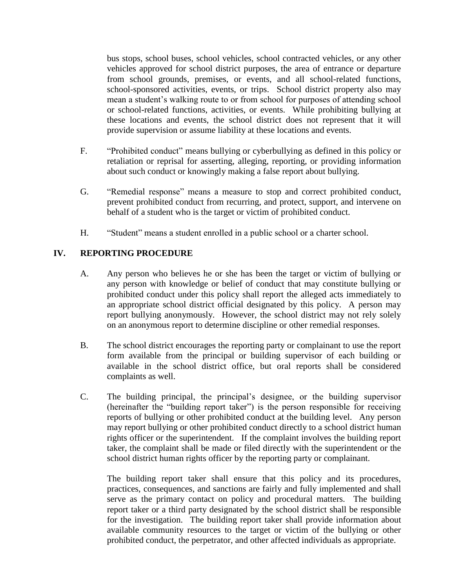bus stops, school buses, school vehicles, school contracted vehicles, or any other vehicles approved for school district purposes, the area of entrance or departure from school grounds, premises, or events, and all school-related functions, school-sponsored activities, events, or trips. School district property also may mean a student's walking route to or from school for purposes of attending school or school-related functions, activities, or events. While prohibiting bullying at these locations and events, the school district does not represent that it will provide supervision or assume liability at these locations and events.

- F. "Prohibited conduct" means bullying or cyberbullying as defined in this policy or retaliation or reprisal for asserting, alleging, reporting, or providing information about such conduct or knowingly making a false report about bullying.
- G. "Remedial response" means a measure to stop and correct prohibited conduct, prevent prohibited conduct from recurring, and protect, support, and intervene on behalf of a student who is the target or victim of prohibited conduct.
- H. "Student" means a student enrolled in a public school or a charter school.

# **IV. REPORTING PROCEDURE**

- A. Any person who believes he or she has been the target or victim of bullying or any person with knowledge or belief of conduct that may constitute bullying or prohibited conduct under this policy shall report the alleged acts immediately to an appropriate school district official designated by this policy. A person may report bullying anonymously. However, the school district may not rely solely on an anonymous report to determine discipline or other remedial responses.
- B. The school district encourages the reporting party or complainant to use the report form available from the principal or building supervisor of each building or available in the school district office, but oral reports shall be considered complaints as well.
- C. The building principal, the principal's designee, or the building supervisor (hereinafter the "building report taker") is the person responsible for receiving reports of bullying or other prohibited conduct at the building level. Any person may report bullying or other prohibited conduct directly to a school district human rights officer or the superintendent. If the complaint involves the building report taker, the complaint shall be made or filed directly with the superintendent or the school district human rights officer by the reporting party or complainant.

The building report taker shall ensure that this policy and its procedures, practices, consequences, and sanctions are fairly and fully implemented and shall serve as the primary contact on policy and procedural matters. The building report taker or a third party designated by the school district shall be responsible for the investigation. The building report taker shall provide information about available community resources to the target or victim of the bullying or other prohibited conduct, the perpetrator, and other affected individuals as appropriate.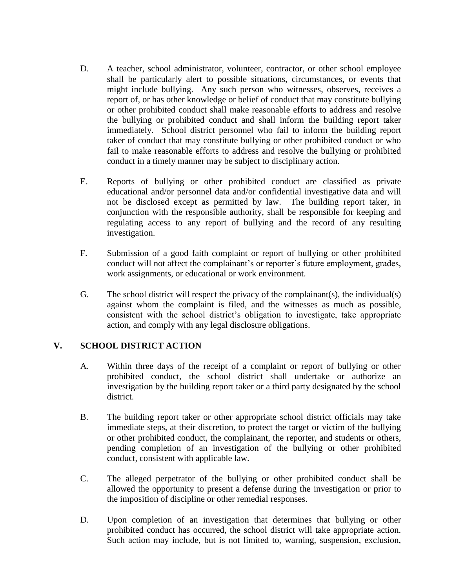- D. A teacher, school administrator, volunteer, contractor, or other school employee shall be particularly alert to possible situations, circumstances, or events that might include bullying. Any such person who witnesses, observes, receives a report of, or has other knowledge or belief of conduct that may constitute bullying or other prohibited conduct shall make reasonable efforts to address and resolve the bullying or prohibited conduct and shall inform the building report taker immediately. School district personnel who fail to inform the building report taker of conduct that may constitute bullying or other prohibited conduct or who fail to make reasonable efforts to address and resolve the bullying or prohibited conduct in a timely manner may be subject to disciplinary action.
- E. Reports of bullying or other prohibited conduct are classified as private educational and/or personnel data and/or confidential investigative data and will not be disclosed except as permitted by law. The building report taker, in conjunction with the responsible authority, shall be responsible for keeping and regulating access to any report of bullying and the record of any resulting investigation.
- F. Submission of a good faith complaint or report of bullying or other prohibited conduct will not affect the complainant's or reporter's future employment, grades, work assignments, or educational or work environment.
- G. The school district will respect the privacy of the complainant(s), the individual(s) against whom the complaint is filed, and the witnesses as much as possible, consistent with the school district's obligation to investigate, take appropriate action, and comply with any legal disclosure obligations.

### **V. SCHOOL DISTRICT ACTION**

- A. Within three days of the receipt of a complaint or report of bullying or other prohibited conduct, the school district shall undertake or authorize an investigation by the building report taker or a third party designated by the school district.
- B. The building report taker or other appropriate school district officials may take immediate steps, at their discretion, to protect the target or victim of the bullying or other prohibited conduct, the complainant, the reporter, and students or others, pending completion of an investigation of the bullying or other prohibited conduct, consistent with applicable law.
- C. The alleged perpetrator of the bullying or other prohibited conduct shall be allowed the opportunity to present a defense during the investigation or prior to the imposition of discipline or other remedial responses.
- D. Upon completion of an investigation that determines that bullying or other prohibited conduct has occurred, the school district will take appropriate action. Such action may include, but is not limited to, warning, suspension, exclusion,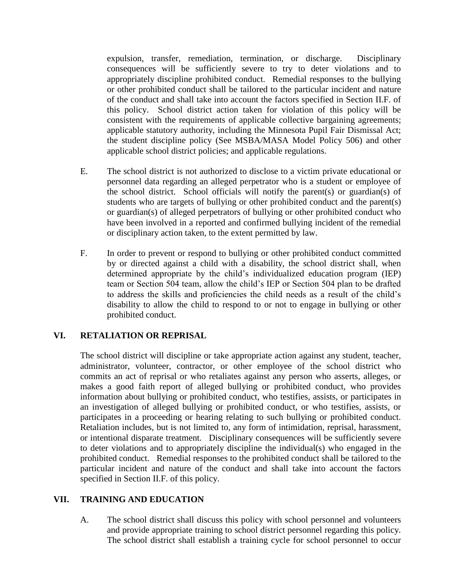expulsion, transfer, remediation, termination, or discharge. Disciplinary consequences will be sufficiently severe to try to deter violations and to appropriately discipline prohibited conduct. Remedial responses to the bullying or other prohibited conduct shall be tailored to the particular incident and nature of the conduct and shall take into account the factors specified in Section II.F. of this policy. School district action taken for violation of this policy will be consistent with the requirements of applicable collective bargaining agreements; applicable statutory authority, including the Minnesota Pupil Fair Dismissal Act; the student discipline policy (See MSBA/MASA Model Policy 506) and other applicable school district policies; and applicable regulations.

- E. The school district is not authorized to disclose to a victim private educational or personnel data regarding an alleged perpetrator who is a student or employee of the school district. School officials will notify the parent(s) or guardian(s) of students who are targets of bullying or other prohibited conduct and the parent(s) or guardian(s) of alleged perpetrators of bullying or other prohibited conduct who have been involved in a reported and confirmed bullying incident of the remedial or disciplinary action taken, to the extent permitted by law.
- F. In order to prevent or respond to bullying or other prohibited conduct committed by or directed against a child with a disability, the school district shall, when determined appropriate by the child's individualized education program (IEP) team or Section 504 team, allow the child's IEP or Section 504 plan to be drafted to address the skills and proficiencies the child needs as a result of the child's disability to allow the child to respond to or not to engage in bullying or other prohibited conduct.

### **VI. RETALIATION OR REPRISAL**

The school district will discipline or take appropriate action against any student, teacher, administrator, volunteer, contractor, or other employee of the school district who commits an act of reprisal or who retaliates against any person who asserts, alleges, or makes a good faith report of alleged bullying or prohibited conduct, who provides information about bullying or prohibited conduct, who testifies, assists, or participates in an investigation of alleged bullying or prohibited conduct, or who testifies, assists, or participates in a proceeding or hearing relating to such bullying or prohibited conduct. Retaliation includes, but is not limited to, any form of intimidation, reprisal, harassment, or intentional disparate treatment. Disciplinary consequences will be sufficiently severe to deter violations and to appropriately discipline the individual(s) who engaged in the prohibited conduct. Remedial responses to the prohibited conduct shall be tailored to the particular incident and nature of the conduct and shall take into account the factors specified in Section II.F. of this policy.

#### **VII. TRAINING AND EDUCATION**

A. The school district shall discuss this policy with school personnel and volunteers and provide appropriate training to school district personnel regarding this policy. The school district shall establish a training cycle for school personnel to occur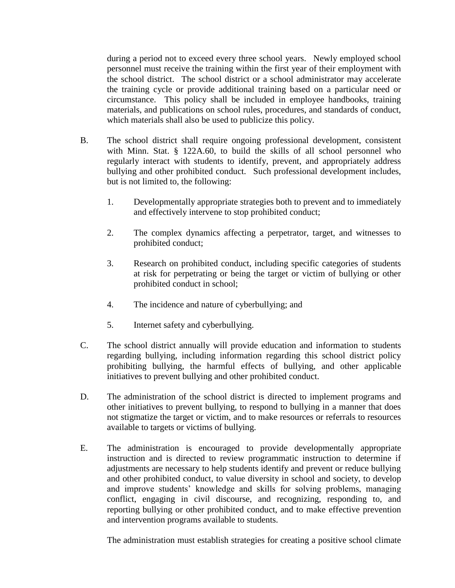during a period not to exceed every three school years. Newly employed school personnel must receive the training within the first year of their employment with the school district. The school district or a school administrator may accelerate the training cycle or provide additional training based on a particular need or circumstance. This policy shall be included in employee handbooks, training materials, and publications on school rules, procedures, and standards of conduct, which materials shall also be used to publicize this policy.

- B. The school district shall require ongoing professional development, consistent with Minn. Stat. § 122A.60, to build the skills of all school personnel who regularly interact with students to identify, prevent, and appropriately address bullying and other prohibited conduct. Such professional development includes, but is not limited to, the following:
	- 1. Developmentally appropriate strategies both to prevent and to immediately and effectively intervene to stop prohibited conduct;
	- 2. The complex dynamics affecting a perpetrator, target, and witnesses to prohibited conduct;
	- 3. Research on prohibited conduct, including specific categories of students at risk for perpetrating or being the target or victim of bullying or other prohibited conduct in school;
	- 4. The incidence and nature of cyberbullying; and
	- 5. Internet safety and cyberbullying.
- C. The school district annually will provide education and information to students regarding bullying, including information regarding this school district policy prohibiting bullying, the harmful effects of bullying, and other applicable initiatives to prevent bullying and other prohibited conduct.
- D. The administration of the school district is directed to implement programs and other initiatives to prevent bullying, to respond to bullying in a manner that does not stigmatize the target or victim, and to make resources or referrals to resources available to targets or victims of bullying.
- E. The administration is encouraged to provide developmentally appropriate instruction and is directed to review programmatic instruction to determine if adjustments are necessary to help students identify and prevent or reduce bullying and other prohibited conduct, to value diversity in school and society, to develop and improve students' knowledge and skills for solving problems, managing conflict, engaging in civil discourse, and recognizing, responding to, and reporting bullying or other prohibited conduct, and to make effective prevention and intervention programs available to students.

The administration must establish strategies for creating a positive school climate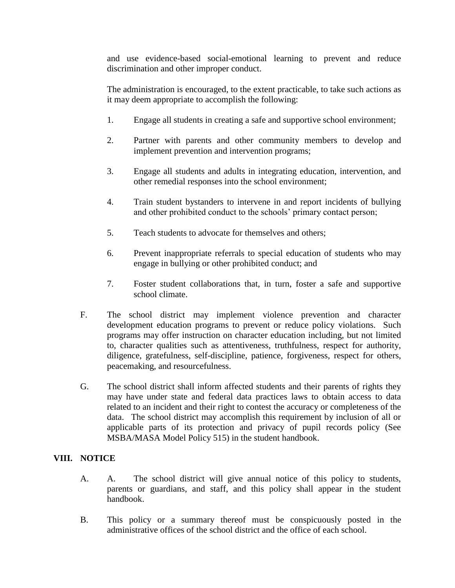and use evidence-based social-emotional learning to prevent and reduce discrimination and other improper conduct.

The administration is encouraged, to the extent practicable, to take such actions as it may deem appropriate to accomplish the following:

- 1. Engage all students in creating a safe and supportive school environment;
- 2. Partner with parents and other community members to develop and implement prevention and intervention programs;
- 3. Engage all students and adults in integrating education, intervention, and other remedial responses into the school environment;
- 4. Train student bystanders to intervene in and report incidents of bullying and other prohibited conduct to the schools' primary contact person;
- 5. Teach students to advocate for themselves and others;
- 6. Prevent inappropriate referrals to special education of students who may engage in bullying or other prohibited conduct; and
- 7. Foster student collaborations that, in turn, foster a safe and supportive school climate.
- F. The school district may implement violence prevention and character development education programs to prevent or reduce policy violations. Such programs may offer instruction on character education including, but not limited to, character qualities such as attentiveness, truthfulness, respect for authority, diligence, gratefulness, self-discipline, patience, forgiveness, respect for others, peacemaking, and resourcefulness.
- G. The school district shall inform affected students and their parents of rights they may have under state and federal data practices laws to obtain access to data related to an incident and their right to contest the accuracy or completeness of the data. The school district may accomplish this requirement by inclusion of all or applicable parts of its protection and privacy of pupil records policy (See MSBA/MASA Model Policy 515) in the student handbook.

# **VIII. NOTICE**

- A. A. The school district will give annual notice of this policy to students, parents or guardians, and staff, and this policy shall appear in the student handbook.
- B. This policy or a summary thereof must be conspicuously posted in the administrative offices of the school district and the office of each school.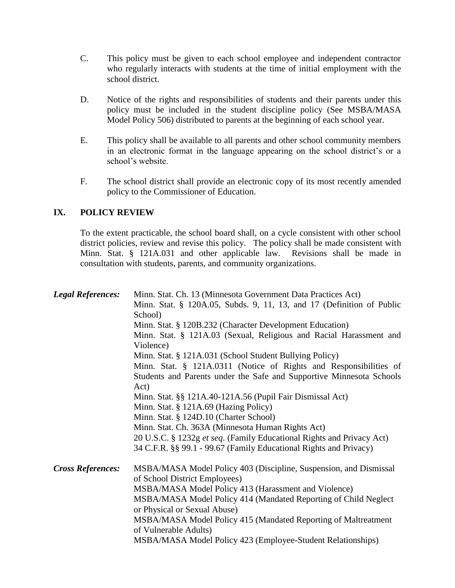- C. This policy must be given to each school employee and independent contractor who regularly interacts with students at the time of initial employment with the school district.
- D. Notice of the rights and responsibilities of students and their parents under this policy must be included in the student discipline policy (See MSBA/MASA Model Policy 506) distributed to parents at the beginning of each school year.
- E. This policy shall be available to all parents and other school community members in an electronic format in the language appearing on the school district's or a school's website.
- F. The school district shall provide an electronic copy of its most recently amended policy to the Commissioner of Education.

### **IX. POLICY REVIEW**

To the extent practicable, the school board shall, on a cycle consistent with other school district policies, review and revise this policy. The policy shall be made consistent with Minn. Stat. § 121A.031 and other applicable law. Revisions shall be made in consultation with students, parents, and community organizations.

| <b>Legal References:</b> | Minn. Stat. Ch. 13 (Minnesota Government Data Practices Act)<br>Minn. Stat. § 120A.05, Subds. 9, 11, 13, and 17 (Definition of Public<br>School) |
|--------------------------|--------------------------------------------------------------------------------------------------------------------------------------------------|
|                          | Minn. Stat. § 120B.232 (Character Development Education)                                                                                         |
|                          | Minn. Stat. § 121A.03 (Sexual, Religious and Racial Harassment and                                                                               |
|                          | Violence)                                                                                                                                        |
|                          | Minn. Stat. § 121A.031 (School Student Bullying Policy)                                                                                          |
|                          | Minn. Stat. § 121A.0311 (Notice of Rights and Responsibilities of                                                                                |
|                          | Students and Parents under the Safe and Supportive Minnesota Schools                                                                             |
|                          | Act)                                                                                                                                             |
|                          | Minn. Stat. §§ 121A.40-121A.56 (Pupil Fair Dismissal Act)                                                                                        |
|                          | Minn. Stat. § 121A.69 (Hazing Policy)                                                                                                            |
|                          | Minn. Stat. § 124D.10 (Charter School)                                                                                                           |
|                          | Minn. Stat. Ch. 363A (Minnesota Human Rights Act)                                                                                                |
|                          | 20 U.S.C. § 1232g et seq. (Family Educational Rights and Privacy Act)                                                                            |
|                          | 34 C.F.R. §§ 99.1 - 99.67 (Family Educational Rights and Privacy)                                                                                |
| <b>Cross References:</b> | MSBA/MASA Model Policy 403 (Discipline, Suspension, and Dismissal                                                                                |
|                          | of School District Employees)                                                                                                                    |
|                          | MSBA/MASA Model Policy 413 (Harassment and Violence)                                                                                             |
|                          | MSBA/MASA Model Policy 414 (Mandated Reporting of Child Neglect                                                                                  |
|                          | or Physical or Sexual Abuse)                                                                                                                     |
|                          | MSBA/MASA Model Policy 415 (Mandated Reporting of Maltreatment                                                                                   |
|                          | of Vulnerable Adults)                                                                                                                            |
|                          | MSBA/MASA Model Policy 423 (Employee-Student Relationships)                                                                                      |